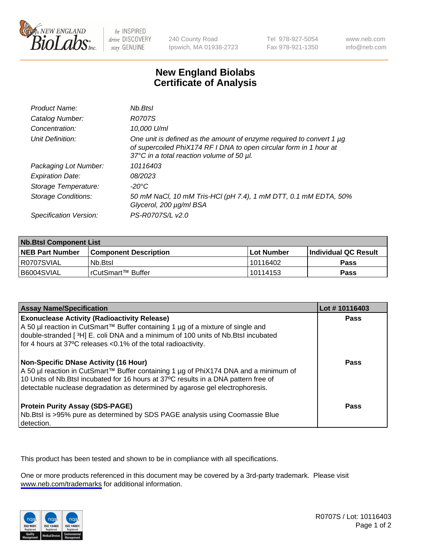

be INSPIRED drive DISCOVERY stay GENUINE

240 County Road Ipswich, MA 01938-2723 Tel 978-927-5054 Fax 978-921-1350

www.neb.com info@neb.com

## **New England Biolabs Certificate of Analysis**

| Product Name:              | Nb.Btsl                                                                                                                                                                                      |
|----------------------------|----------------------------------------------------------------------------------------------------------------------------------------------------------------------------------------------|
| Catalog Number:            | <b>R0707S</b>                                                                                                                                                                                |
| Concentration:             | 10,000 U/ml                                                                                                                                                                                  |
| Unit Definition:           | One unit is defined as the amount of enzyme required to convert 1 $\mu$ g<br>of supercoiled PhiX174 RF I DNA to open circular form in 1 hour at<br>37°C in a total reaction volume of 50 µl. |
| Packaging Lot Number:      | 10116403                                                                                                                                                                                     |
| <b>Expiration Date:</b>    | 08/2023                                                                                                                                                                                      |
| Storage Temperature:       | -20°C                                                                                                                                                                                        |
| <b>Storage Conditions:</b> | 50 mM NaCl, 10 mM Tris-HCl (pH 7.4), 1 mM DTT, 0.1 mM EDTA, 50%<br>Glycerol, 200 µg/ml BSA                                                                                                   |
| Specification Version:     | PS-R0707S/L v2.0                                                                                                                                                                             |

| <b>Nb.Btsl Component List</b> |                         |             |                             |  |
|-------------------------------|-------------------------|-------------|-----------------------------|--|
| <b>NEB Part Number</b>        | l Component Description | ⊺Lot Number | <b>Individual QC Result</b> |  |
| I R0707SVIAL                  | Nb.Btsl                 | 10116402    | <b>Pass</b>                 |  |
| I B6004SVIAL                  | l rCutSmart™ Buffer     | 10114153    | <b>Pass</b>                 |  |

| <b>Assay Name/Specification</b>                                                                                                                                                                                                                                                                                | Lot #10116403 |
|----------------------------------------------------------------------------------------------------------------------------------------------------------------------------------------------------------------------------------------------------------------------------------------------------------------|---------------|
| <b>Exonuclease Activity (Radioactivity Release)</b><br>A 50 µl reaction in CutSmart™ Buffer containing 1 µg of a mixture of single and<br>double-stranded [3H] E. coli DNA and a minimum of 100 units of Nb. Btsl incubated<br>for 4 hours at 37°C releases <0.1% of the total radioactivity.                  | <b>Pass</b>   |
| <b>Non-Specific DNase Activity (16 Hour)</b><br>  A 50 µl reaction in CutSmart™ Buffer containing 1 µg of PhiX174 DNA and a minimum of<br>10 Units of Nb.Btsl incubated for 16 hours at 37°C results in a DNA pattern free of<br>detectable nuclease degradation as determined by agarose gel electrophoresis. | Pass          |
| <b>Protein Purity Assay (SDS-PAGE)</b><br>Nb. Btsl is >95% pure as determined by SDS PAGE analysis using Coomassie Blue<br>detection.                                                                                                                                                                          | Pass          |

This product has been tested and shown to be in compliance with all specifications.

One or more products referenced in this document may be covered by a 3rd-party trademark. Please visit <www.neb.com/trademarks>for additional information.